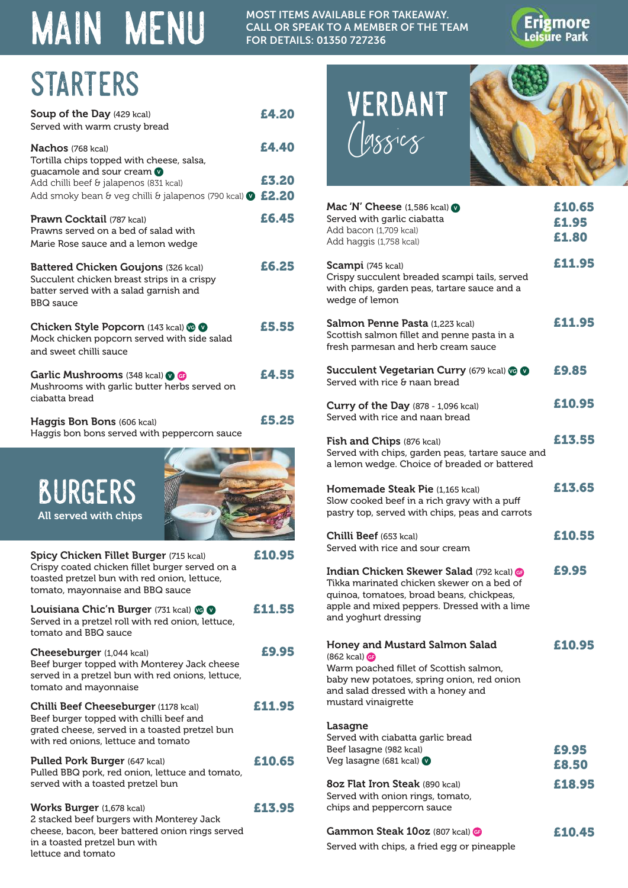## **MAIN MENU**

MOST ITEMS AVAILABLE FOR TAKEAWAY. CALL OR SPEAK TO A MEMBER OF THE TEAM FOR DETAILS: 01350 727236



# STARTERS<br>Soup of the Day (429 kcal) F4 20 VERDANT

| <b>Soup of the Day (429 kcal)</b><br>Served with warm crusty bread                                                                                      | £4.20 |
|---------------------------------------------------------------------------------------------------------------------------------------------------------|-------|
| <b>Nachos</b> (768 kcal)<br>Tortilla chips topped with cheese, salsa,<br>guacamole and sour cream                                                       | £4.40 |
| Add chilli beef & jalapenos (831 kcal)<br>Add smoky bean & veg chilli & jalapenos (790 kcal) $\circ$ £2.20                                              | £3.20 |
| Prawn Cocktail (787 kcal)<br>Prawns served on a bed of salad with<br>Marie Rose sauce and a lemon wedge                                                 | £6.45 |
| <b>Battered Chicken Goujons (326 kcal)</b><br>Succulent chicken breast strips in a crispy<br>batter served with a salad garnish and<br><b>BBQ</b> sauce | £6.25 |
| Chicken Style Popcorn (143 kcal) @ @<br>Mock chicken popcorn served with side salad<br>and sweet chilli sauce                                           | £5.55 |
| Garlic Mushrooms (348 kcal) <b>OG</b><br>Mushrooms with garlic butter herbs served on<br>ciabatta bread                                                 | £4.55 |
| Haggis Bon Bons (606 kcal)<br>Haggis bon bons served with peppercorn sauce                                                                              | £5.25 |
| <b>BURGERS</b><br>All served with chips                                                                                                                 |       |

| <b>Spicy Chicken Fillet Burger (715 kcal)</b><br>Crispy coated chicken fillet burger served on a<br>toasted pretzel bun with red onion, lettuce,<br>tomato, mayonnaise and BBQ sauce    | £10.95 |
|-----------------------------------------------------------------------------------------------------------------------------------------------------------------------------------------|--------|
| <b>Louisiana Chic'n Burger (731 kcal) <math>\otimes \bullet</math></b><br>Served in a pretzel roll with red onion, lettuce,<br>tomato and BBQ sauce                                     | £11.55 |
| <b>Cheeseburger</b> (1,044 kcal)<br>Beef burger topped with Monterey Jack cheese<br>served in a pretzel bun with red onions, lettuce,<br>tomato and mayonnaise                          | £9.95  |
| <b>Chilli Beef Cheeseburger (1178 kcal)</b><br>Beef burger topped with chilli beef and<br>grated cheese, served in a toasted pretzel bun<br>with red onions, lettuce and tomato         | £11.95 |
| Pulled Pork Burger (647 kcal)<br>Pulled BBQ pork, red onion, lettuce and tomato,<br>served with a toasted pretzel bun                                                                   | £10.65 |
| <b>Works Burger</b> (1,678 kcal)<br>2 stacked beef burgers with Monterey Jack<br>cheese, bacon, beer battered onion rings served<br>in a toasted pretzel bun with<br>lettuce and tomato | £13.95 |

Classics



| Mac 'N' Cheese $(1,586 \text{ kcal})$<br>Served with garlic ciabatta<br>Add bacon (1,709 kcal)<br>Add haggis (1,758 kcal)                                                                                          | £10.65<br>£1.95<br>£1.80 |
|--------------------------------------------------------------------------------------------------------------------------------------------------------------------------------------------------------------------|--------------------------|
| Scampi (745 kcal)<br>Crispy succulent breaded scampi tails, served<br>with chips, garden peas, tartare sauce and a<br>wedge of lemon                                                                               | £11.95                   |
| Salmon Penne Pasta (1,223 kcal)<br>Scottish salmon fillet and penne pasta in a<br>fresh parmesan and herb cream sauce                                                                                              | £11.95                   |
| Succulent Vegetarian Curry (679 kcal) @ @<br>Served with rice & naan bread                                                                                                                                         | £9.85                    |
| Curry of the Day (878 - 1,096 kcal)<br>Served with rice and naan bread                                                                                                                                             | £10.95                   |
| Fish and Chips (876 kcal)<br>Served with chips, garden peas, tartare sauce and<br>a lemon wedge. Choice of breaded or battered                                                                                     | £13.55                   |
| Homemade Steak Pie (1,165 kcal)<br>Slow cooked beef in a rich gravy with a puff<br>pastry top, served with chips, peas and carrots                                                                                 | £13.65                   |
| <b>Chilli Beef</b> (653 kcal)<br>Served with rice and sour cream                                                                                                                                                   | £10.55                   |
| <b>Indian Chicken Skewer Salad (792 kcal) @</b><br>Tikka marinated chicken skewer on a bed of<br>quinoa, tomatoes, broad beans, chickpeas,<br>apple and mixed peppers. Dressed with a lime<br>and yoghurt dressing | £9.95                    |
| Honey and Mustard Salmon Salad<br>$(862 \text{ kcal})$<br>Warm poached fillet of Scottish salmon,<br>baby new potatoes, spring onion, red onion<br>and salad dressed with a honey and<br>mustard vinaigrette       | £10.95                   |
| Lasagne<br>Served with ciabatta garlic bread<br>Beef lasagne (982 kcal)<br>Veg lasagne (681 kcal)                                                                                                                  | £9.95<br>£8.50           |
| 80z Flat Iron Steak (890 kcal)<br>Served with onion rings, tomato,<br>chips and peppercorn sauce                                                                                                                   | £18.95                   |
| Gammon Steak 10oz (807 kcal) @<br>Served with chips, a fried egg or pineapple                                                                                                                                      | £10.45                   |